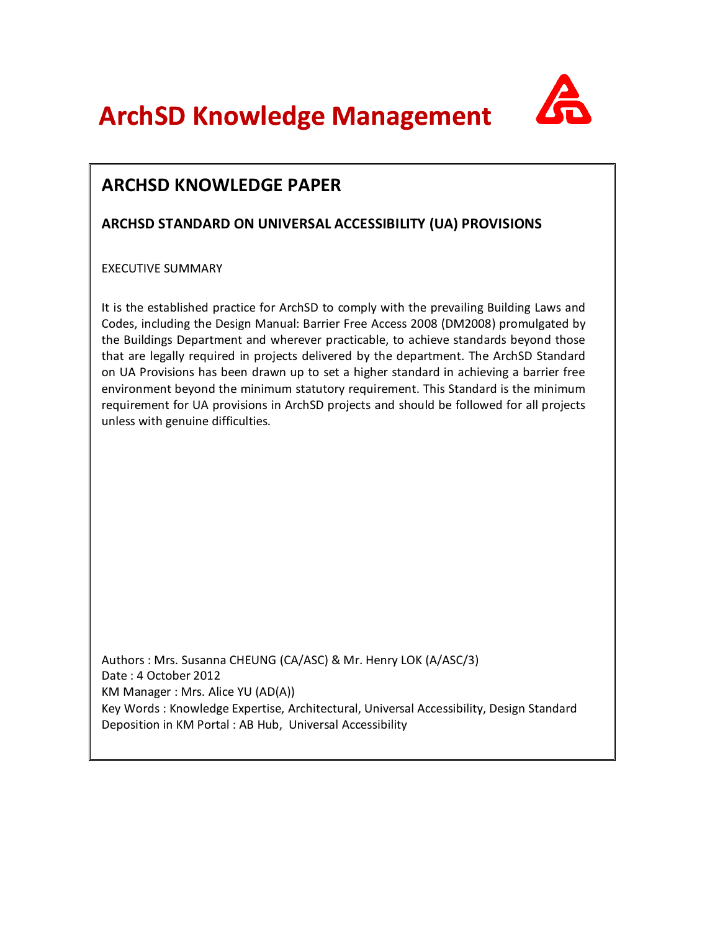**ArchSD Knowledge Management** 



## **ARCHSD STANDARD ON UNIVERSAL ACCESSIBILITY (UA) PROVISIONS**

EXECUTIVE SUMMARY

It is the established practice for ArchSD to comply with the prevailing Building Laws and Codes, including the Design Manual: Barrier Free Access 2008 (DM2008) promulgated by the Buildings Department and wherever practicable, to achieve standards beyond those that are legally required in projects delivered by the department. The ArchSD Standard on UA Provisions has been drawn up to set a higher standard in achieving a barrier free environment beyond the minimum statutory requirement. This Standard is the minimum requirement for UA provisions in ArchSD projects and should be followed for all projects unless with genuine difficulties.

Authors : Mrs. Susanna CHEUNG (CA/ASC) & Mr. Henry LOK (A/ASC/3) Date : 4 October 2012 KM Manager : Mrs. Alice YU (AD(A)) Key Words : Knowledge Expertise, Architectural, Universal Accessibility, Design Standard Deposition in KM Portal : AB Hub, Universal Accessibility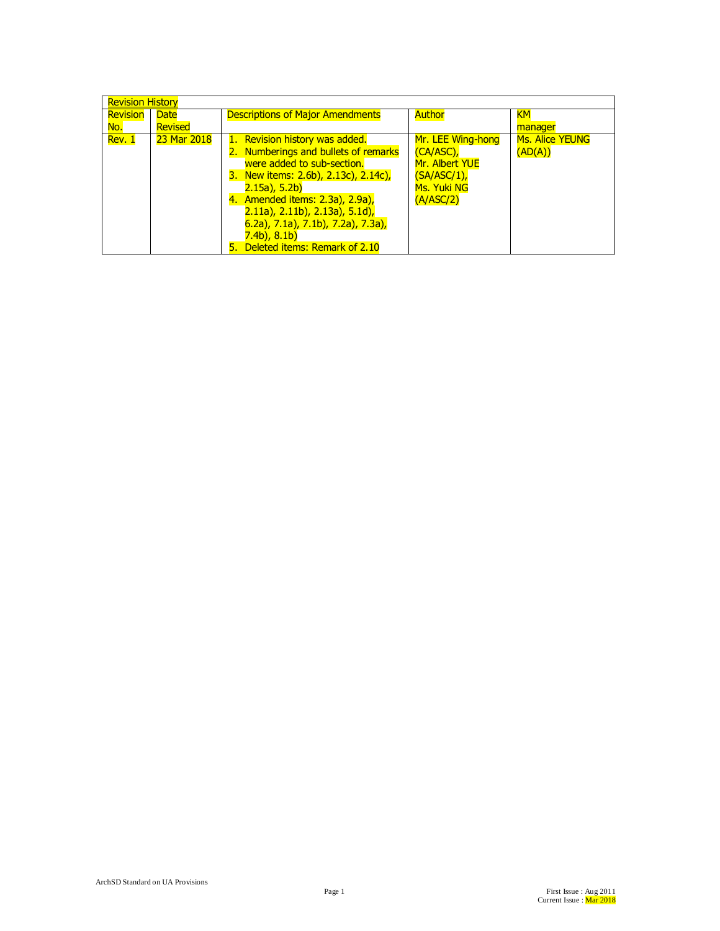| <b>Revision History</b> |                        |                                                                                                                                                                                                                                                                                                                                              |                                                                                               |                                   |
|-------------------------|------------------------|----------------------------------------------------------------------------------------------------------------------------------------------------------------------------------------------------------------------------------------------------------------------------------------------------------------------------------------------|-----------------------------------------------------------------------------------------------|-----------------------------------|
| Revision<br>No.         | <b>Date</b><br>Revised | <b>Descriptions of Major Amendments</b>                                                                                                                                                                                                                                                                                                      | <b>Author</b>                                                                                 | <b>KM</b><br>manager              |
| Rev. 1                  | 23 Mar 2018            | <b>Revision history was added.</b><br>2. Numberings and bullets of remarks<br>were added to sub-section.<br>3. New items: 2.6b), 2.13c), 2.14c),<br>$2.15a)$ , 5.2b)<br>4. Amended items: 2.3a), 2.9a),<br>$(2.11a)$ , 2.11b), 2.13a), 5.1d),<br>6.2a), 7.1a), 7.1b), 7.2a), 7.3a),<br>$7.4b$ , $8.1b$ )<br>5. Deleted items: Remark of 2.10 | Mr. LEE Wing-hong<br>$(CA/ASC)$ ,<br>Mr. Albert YUE<br>(SA/ASC/1)<br>Ms. Yuki NG<br>(A/ASC/2) | <b>Ms. Alice YEUNG</b><br>(AD(A)) |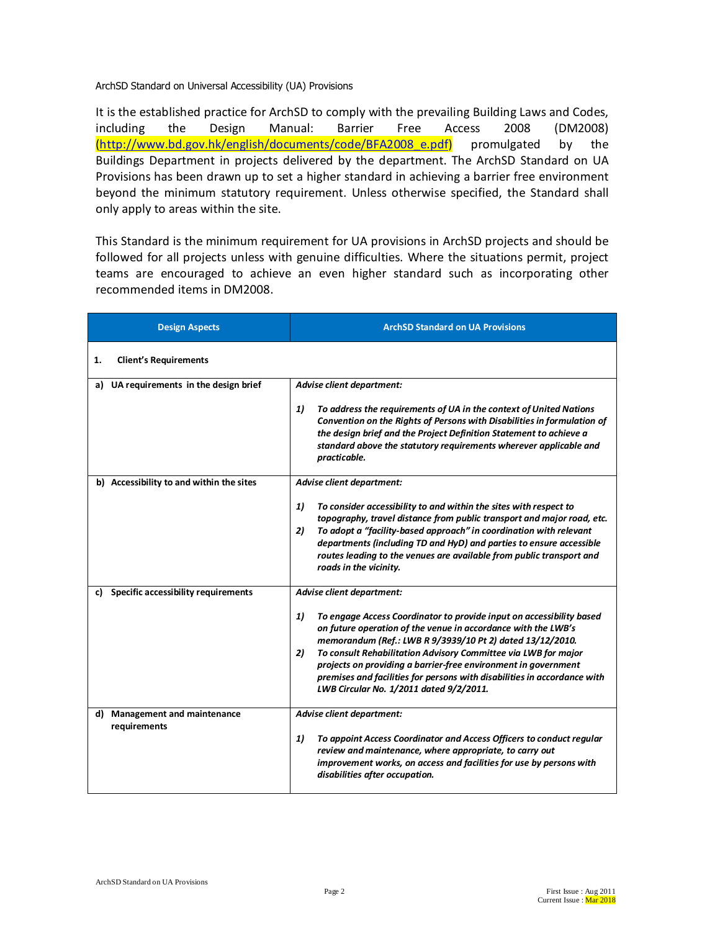ArchSD Standard on Universal Accessibility (UA) Provisions

It is the established practice for ArchSD to comply with the prevailing Building Laws and Codes, including the Design Manual: Barrier Free Access 2008 (DM2008) (http://www.bd.gov.hk/english/documents/code/BFA2008\_e.pdf) promulgated by the Buildings Department in projects delivered by the department. The ArchSD Standard on UA Provisions has been drawn up to set a higher standard in achieving a barrier free environment beyond the minimum statutory requirement. Unless otherwise specified, the Standard shall only apply to areas within the site.

This Standard is the minimum requirement for UA provisions in ArchSD projects and should be followed for all projects unless with genuine difficulties. Where the situations permit, project teams are encouraged to achieve an even higher standard such as incorporating other recommended items in DM2008.

| <b>Design Aspects</b>                                   | <b>ArchSD Standard on UA Provisions</b>                                                                                                                                                                                                                                                                                                                                                                |
|---------------------------------------------------------|--------------------------------------------------------------------------------------------------------------------------------------------------------------------------------------------------------------------------------------------------------------------------------------------------------------------------------------------------------------------------------------------------------|
| <b>Client's Requirements</b><br>1.                      |                                                                                                                                                                                                                                                                                                                                                                                                        |
| UA requirements in the design brief<br>a)               | Advise client department:                                                                                                                                                                                                                                                                                                                                                                              |
|                                                         | 1)<br>To address the requirements of UA in the context of United Nations<br>Convention on the Rights of Persons with Disabilities in formulation of<br>the design brief and the Project Definition Statement to achieve a<br>standard above the statutory requirements wherever applicable and<br>practicable.                                                                                         |
| b) Accessibility to and within the sites                | Advise client department:                                                                                                                                                                                                                                                                                                                                                                              |
|                                                         | To consider accessibility to and within the sites with respect to<br>1)<br>topography, travel distance from public transport and major road, etc.<br>2)<br>To adopt a "facility-based approach" in coordination with relevant<br>departments (including TD and HyD) and parties to ensure accessible<br>routes leading to the venues are available from public transport and<br>roads in the vicinity. |
| Specific accessibility requirements<br>c)               | Advise client department:                                                                                                                                                                                                                                                                                                                                                                              |
|                                                         | 1)<br>To engage Access Coordinator to provide input on accessibility based<br>on future operation of the venue in accordance with the LWB's<br>memorandum (Ref.: LWB R 9/3939/10 Pt 2) dated 13/12/2010.                                                                                                                                                                                               |
|                                                         | To consult Rehabilitation Advisory Committee via LWB for major<br>2)<br>projects on providing a barrier-free environment in government<br>premises and facilities for persons with disabilities in accordance with<br>LWB Circular No. 1/2011 dated 9/2/2011.                                                                                                                                          |
| <b>Management and maintenance</b><br>d)<br>requirements | Advise client department:                                                                                                                                                                                                                                                                                                                                                                              |
|                                                         | 1)<br>To appoint Access Coordinator and Access Officers to conduct regular<br>review and maintenance, where appropriate, to carry out<br>improvement works, on access and facilities for use by persons with<br>disabilities after occupation.                                                                                                                                                         |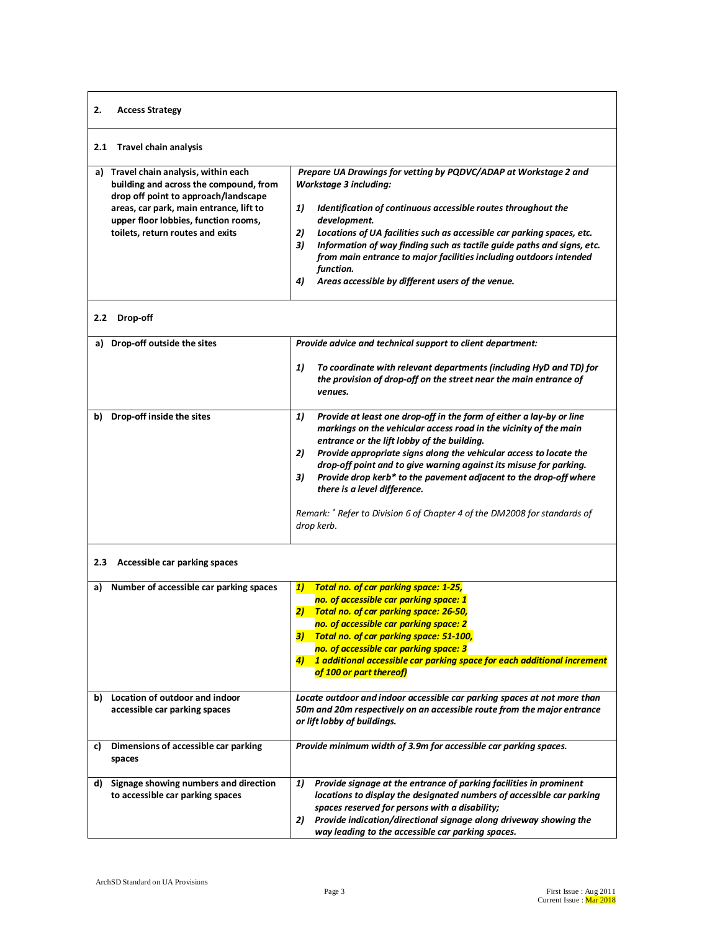## **2. Access Strategy 2.1 Travel chain analysis a) Travel chain analysis, within each building and across the compound, from drop off point to approach/landscape areas, car park, main entrance, lift to upper floor lobbies, function rooms, toilets, return routes and exits** *Prepare UA Drawings for vetting by PQDVC/ADAP at Workstage 2 and Workstage 3 including: 1) Identification of continuous accessible routes throughout the development. 2) Locations of UA facilities such as accessible car parking spaces, etc. 3) Information of way finding such as tactile guide paths and signs, etc. from main entrance to major facilities including outdoors intended function. 4) Areas accessible by different users of the venue.* **2.2 Drop-off a) Drop-off outside the sites** *Provide advice and technical support to client department: 1) To coordinate with relevant departments (including HyD and TD) for the provision of drop-off on the street near the main entrance of venues.* **b) Drop-off inside the sites** *1) Provide at least one drop-off in the form of either a lay-by or line markings on the vehicular access road in the vicinity of the main entrance or the lift lobby of the building. 2) Provide appropriate signs along the vehicular access to locate the drop-off point and to give warning against its misuse for parking. 3) Provide drop kerb\* to the pavement adjacent to the drop-off where there is a level difference. Remark: \* Refer to Division 6 of Chapter 4 of the DM2008 for standards of drop kerb.* **2.3 Accessible car parking spaces a) Number of accessible car parking spaces** *1) Total no. of car parking space: 1-25, no. of accessible car parking space: 1 2) Total no. of car parking space: 26-50, no. of accessible car parking space: 2 3) Total no. of car parking space: 51-100, no. of accessible car parking space: 3 4) 1 additional accessible car parking space for each additional increment of 100 or part thereof)* **b) Location of outdoor and indoor accessible car parking spaces** *Locate outdoor and indoor accessible car parking spaces at not more than 50m and 20m respectively on an accessible route from the major entrance or lift lobby of buildings.* **c) Dimensions of accessible car parking spaces** *Provide minimum width of 3.9m for accessible car parking spaces.* **d) Signage showing numbers and direction to accessible car parking spaces** *1) Provide signage at the entrance of parking facilities in prominent locations to display the designated numbers of accessible car parking spaces reserved for persons with a disability; 2) Provide indication/directional signage along driveway showing the way leading to the accessible car parking spaces.*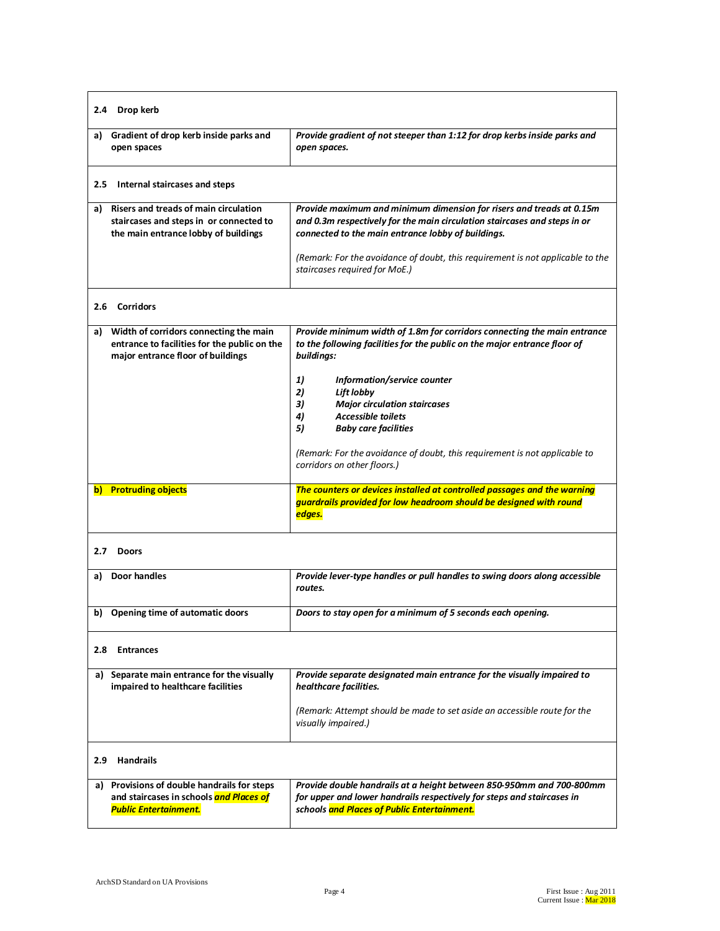| 2.4 Drop kerb                                                                                                                  |                                                                                                                                                                                                                                                                                                                                                                                                                                                                |
|--------------------------------------------------------------------------------------------------------------------------------|----------------------------------------------------------------------------------------------------------------------------------------------------------------------------------------------------------------------------------------------------------------------------------------------------------------------------------------------------------------------------------------------------------------------------------------------------------------|
| a) Gradient of drop kerb inside parks and<br>open spaces                                                                       | Provide gradient of not steeper than 1:12 for drop kerbs inside parks and<br>open spaces.                                                                                                                                                                                                                                                                                                                                                                      |
| 2.5<br>Internal staircases and steps                                                                                           |                                                                                                                                                                                                                                                                                                                                                                                                                                                                |
| a) Risers and treads of main circulation<br>staircases and steps in or connected to<br>the main entrance lobby of buildings    | Provide maximum and minimum dimension for risers and treads at 0.15m<br>and 0.3m respectively for the main circulation staircases and steps in or<br>connected to the main entrance lobby of buildings.<br>(Remark: For the avoidance of doubt, this requirement is not applicable to the<br>staircases required for MoE.)                                                                                                                                     |
| 2.6 Corridors                                                                                                                  |                                                                                                                                                                                                                                                                                                                                                                                                                                                                |
| a) Width of corridors connecting the main<br>entrance to facilities for the public on the<br>major entrance floor of buildings | Provide minimum width of 1.8m for corridors connecting the main entrance<br>to the following facilities for the public on the major entrance floor of<br>buildings:<br>Information/service counter<br>1)<br>2)<br>Lift lobby<br><b>Major circulation staircases</b><br>3)<br><b>Accessible toilets</b><br>4)<br>5)<br><b>Baby care facilities</b><br>(Remark: For the avoidance of doubt, this requirement is not applicable to<br>corridors on other floors.) |
| <b>Protruding objects</b><br>b)                                                                                                | The counters or devices installed at controlled passages and the warning<br>guardrails provided for low headroom should be designed with round<br>edges.                                                                                                                                                                                                                                                                                                       |
| 2.7<br><b>Doors</b>                                                                                                            |                                                                                                                                                                                                                                                                                                                                                                                                                                                                |
| a) Door handles                                                                                                                | Provide lever-type handles or pull handles to swing doors along accessible<br>routes.                                                                                                                                                                                                                                                                                                                                                                          |
| b) Opening time of automatic doors                                                                                             | Doors to stay open for a minimum of 5 seconds each opening.                                                                                                                                                                                                                                                                                                                                                                                                    |
| 2.8 Entrances                                                                                                                  |                                                                                                                                                                                                                                                                                                                                                                                                                                                                |
| a) Separate main entrance for the visually<br>impaired to healthcare facilities                                                | Provide separate designated main entrance for the visually impaired to<br>healthcare facilities.<br>(Remark: Attempt should be made to set aside an accessible route for the<br>visually impaired.)                                                                                                                                                                                                                                                            |
| 2.9 Handrails                                                                                                                  |                                                                                                                                                                                                                                                                                                                                                                                                                                                                |
| a) Provisions of double handrails for steps<br>and staircases in schools and Places of<br><b>Public Entertainment.</b>         | Provide double handrails at a height between 850-950mm and 700-800mm<br>for upper and lower handrails respectively for steps and staircases in<br>schools and Places of Public Entertainment.                                                                                                                                                                                                                                                                  |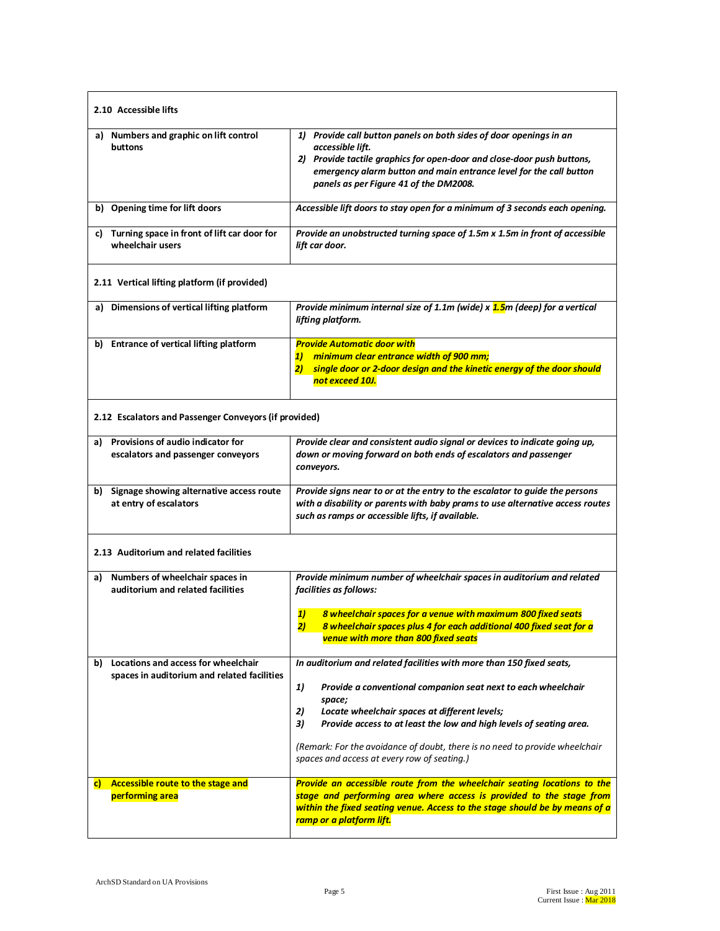| 2.10 Accessible lifts                                                                 |                                                                                                                                                                                                                                                                                                                                                                                                                         |
|---------------------------------------------------------------------------------------|-------------------------------------------------------------------------------------------------------------------------------------------------------------------------------------------------------------------------------------------------------------------------------------------------------------------------------------------------------------------------------------------------------------------------|
| a) Numbers and graphic on lift control<br>buttons                                     | 1) Provide call button panels on both sides of door openings in an<br>accessible lift.<br>2) Provide tactile graphics for open-door and close-door push buttons,<br>emergency alarm button and main entrance level for the call button<br>panels as per Figure 41 of the DM2008.                                                                                                                                        |
| b) Opening time for lift doors                                                        | Accessible lift doors to stay open for a minimum of 3 seconds each opening.                                                                                                                                                                                                                                                                                                                                             |
| c) Turning space in front of lift car door for<br>wheelchair users                    | Provide an unobstructed turning space of 1.5m x 1.5m in front of accessible<br>lift car door.                                                                                                                                                                                                                                                                                                                           |
| 2.11 Vertical lifting platform (if provided)                                          |                                                                                                                                                                                                                                                                                                                                                                                                                         |
| a) Dimensions of vertical lifting platform                                            | Provide minimum internal size of 1.1m (wide) x 1.5m (deep) for a vertical<br>lifting platform.                                                                                                                                                                                                                                                                                                                          |
| b) Entrance of vertical lifting platform                                              | <b>Provide Automatic door with</b><br>minimum clear entrance width of 900 mm;<br>1)<br>2) single door or 2-door design and the kinetic energy of the door should<br>not exceed 10J.                                                                                                                                                                                                                                     |
| 2.12 Escalators and Passenger Conveyors (if provided)                                 |                                                                                                                                                                                                                                                                                                                                                                                                                         |
| Provisions of audio indicator for<br>a)<br>escalators and passenger conveyors         | Provide clear and consistent audio signal or devices to indicate going up,<br>down or moving forward on both ends of escalators and passenger<br>conveyors.                                                                                                                                                                                                                                                             |
| b) Signage showing alternative access route<br>at entry of escalators                 | Provide signs near to or at the entry to the escalator to guide the persons<br>with a disability or parents with baby prams to use alternative access routes<br>such as ramps or accessible lifts, if available.                                                                                                                                                                                                        |
| 2.13 Auditorium and related facilities                                                |                                                                                                                                                                                                                                                                                                                                                                                                                         |
| a) Numbers of wheelchair spaces in<br>auditorium and related facilities               | Provide minimum number of wheelchair spaces in auditorium and related<br>facilities as follows:                                                                                                                                                                                                                                                                                                                         |
|                                                                                       | 1)<br>8 wheelchair spaces for a venue with maximum 800 fixed seats<br>8 wheelchair spaces plus 4 for each additional 400 fixed seat for a<br>2)<br>venue with more than 800 fixed seats                                                                                                                                                                                                                                 |
| b) Locations and access for wheelchair<br>spaces in auditorium and related facilities | In auditorium and related facilities with more than 150 fixed seats,<br>1)<br>Provide a conventional companion seat next to each wheelchair<br>space;<br>2)<br>Locate wheelchair spaces at different levels;<br>3)<br>Provide access to at least the low and high levels of seating area.<br>(Remark: For the avoidance of doubt, there is no need to provide wheelchair<br>spaces and access at every row of seating.) |
| Accessible route to the stage and<br>C)<br>performing area                            | Provide an accessible route from the wheelchair seating locations to the<br>stage and performing area where access is provided to the stage from<br>within the fixed seating venue. Access to the stage should be by means of a<br>ramp or a platform lift.                                                                                                                                                             |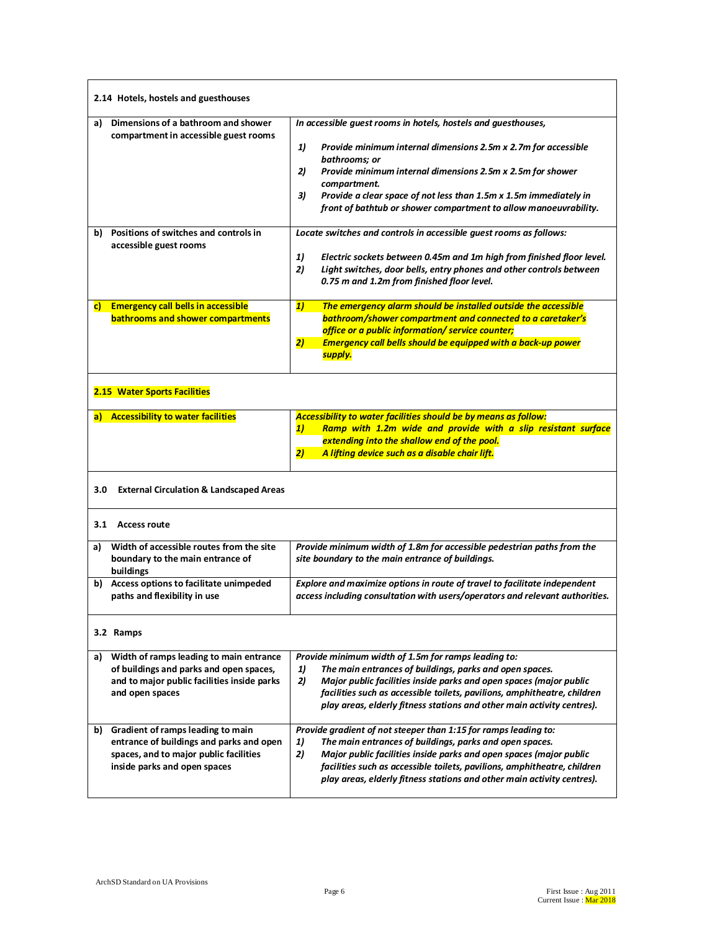| 2.14 Hotels, hostels and guesthouses                                                                                                                       |                                                                                                                                                                                                                                                                                                                                                                                           |
|------------------------------------------------------------------------------------------------------------------------------------------------------------|-------------------------------------------------------------------------------------------------------------------------------------------------------------------------------------------------------------------------------------------------------------------------------------------------------------------------------------------------------------------------------------------|
| Dimensions of a bathroom and shower<br>a)<br>compartment in accessible guest rooms                                                                         | In accessible guest rooms in hotels, hostels and guesthouses,<br>1)<br>Provide minimum internal dimensions 2.5m x 2.7m for accessible<br>bathrooms; or<br>Provide minimum internal dimensions 2.5m x 2.5m for shower<br>2)<br>compartment.<br>Provide a clear space of not less than 1.5m x 1.5m immediately in<br>3)<br>front of bathtub or shower compartment to allow manoeuvrability. |
| Positions of switches and controls in<br>b)<br>accessible guest rooms                                                                                      | Locate switches and controls in accessible guest rooms as follows:<br>1)<br>Electric sockets between 0.45m and 1m high from finished floor level.<br>2)<br>Light switches, door bells, entry phones and other controls between<br>0.75 m and 1.2m from finished floor level.                                                                                                              |
| c) Emergency call bells in accessible<br>bathrooms and shower compartments                                                                                 | The emergency alarm should be installed outside the accessible<br>1)<br>bathroom/shower compartment and connected to a caretaker's<br>office or a public information/ service counter;<br>2)<br><b>Emergency call bells should be equipped with a back-up power</b><br>supply.                                                                                                            |
| 2.15 Water Sports Facilities                                                                                                                               |                                                                                                                                                                                                                                                                                                                                                                                           |
| <b>Accessibility to water facilities</b><br>a)                                                                                                             | <b>Accessibility to water facilities should be by means as follow:</b><br>Ramp with 1.2m wide and provide with a slip resistant surface<br>1)<br>extending into the shallow end of the pool.<br>2)<br>A lifting device such as a disable chair lift.                                                                                                                                      |
| <b>External Circulation &amp; Landscaped Areas</b><br>3.0                                                                                                  |                                                                                                                                                                                                                                                                                                                                                                                           |
| 3.1 Access route                                                                                                                                           |                                                                                                                                                                                                                                                                                                                                                                                           |
| Width of accessible routes from the site<br>a)<br>boundary to the main entrance of<br>buildings                                                            | Provide minimum width of 1.8m for accessible pedestrian paths from the<br>site boundary to the main entrance of buildings.                                                                                                                                                                                                                                                                |
| b) Access options to facilitate unimpeded<br>paths and flexibility in use                                                                                  | Explore and maximize options in route of travel to facilitate independent<br>access including consultation with users/operators and relevant authorities.                                                                                                                                                                                                                                 |
| 3.2 Ramps                                                                                                                                                  |                                                                                                                                                                                                                                                                                                                                                                                           |
| Width of ramps leading to main entrance<br>a)<br>of buildings and parks and open spaces,<br>and to major public facilities inside parks<br>and open spaces | Provide minimum width of 1.5m for ramps leading to:<br>The main entrances of buildings, parks and open spaces.<br>1)<br>2)<br>Major public facilities inside parks and open spaces (major public<br>facilities such as accessible toilets, pavilions, amphitheatre, children<br>play areas, elderly fitness stations and other main activity centres).                                    |
| b) Gradient of ramps leading to main<br>entrance of buildings and parks and open<br>spaces, and to major public facilities<br>inside parks and open spaces | Provide gradient of not steeper than 1:15 for ramps leading to:<br>The main entrances of buildings, parks and open spaces.<br>1)<br>2)<br>Major public facilities inside parks and open spaces (major public<br>facilities such as accessible toilets, pavilions, amphitheatre, children<br>play areas, elderly fitness stations and other main activity centres).                        |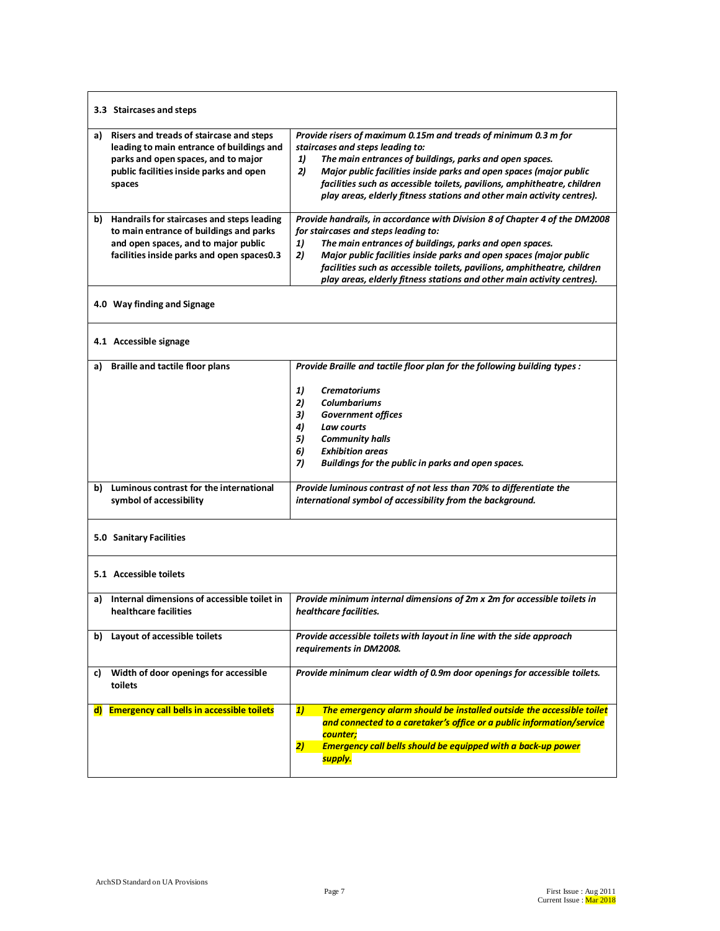| 3.3 Staircases and steps                                                                                                                                                                |                                                                                                                                                                                                                                                                                                                                                                                                                        |
|-----------------------------------------------------------------------------------------------------------------------------------------------------------------------------------------|------------------------------------------------------------------------------------------------------------------------------------------------------------------------------------------------------------------------------------------------------------------------------------------------------------------------------------------------------------------------------------------------------------------------|
| Risers and treads of staircase and steps<br>a)<br>leading to main entrance of buildings and<br>parks and open spaces, and to major<br>public facilities inside parks and open<br>spaces | Provide risers of maximum 0.15m and treads of minimum 0.3 m for<br>staircases and steps leading to:<br>The main entrances of buildings, parks and open spaces.<br>1)<br>2)<br>Major public facilities inside parks and open spaces (major public<br>facilities such as accessible toilets, pavilions, amphitheatre, children<br>play areas, elderly fitness stations and other main activity centres).                 |
| Handrails for staircases and steps leading<br>b).<br>to main entrance of buildings and parks<br>and open spaces, and to major public<br>facilities inside parks and open spaces0.3      | Provide handrails, in accordance with Division 8 of Chapter 4 of the DM2008<br>for staircases and steps leading to:<br>The main entrances of buildings, parks and open spaces.<br>1)<br>2)<br>Major public facilities inside parks and open spaces (major public<br>facilities such as accessible toilets, pavilions, amphitheatre, children<br>play areas, elderly fitness stations and other main activity centres). |
| 4.0 Way finding and Signage                                                                                                                                                             |                                                                                                                                                                                                                                                                                                                                                                                                                        |
| 4.1 Accessible signage                                                                                                                                                                  |                                                                                                                                                                                                                                                                                                                                                                                                                        |
| <b>Braille and tactile floor plans</b><br>a)                                                                                                                                            | Provide Braille and tactile floor plan for the following building types :<br>1)<br><b>Crematoriums</b><br>2)<br><b>Columbariums</b><br>3)<br><b>Government offices</b><br>4)<br>Law courts<br>5)<br><b>Community halls</b><br>6)<br><b>Exhibition areas</b><br>7)<br>Buildings for the public in parks and open spaces.                                                                                                |
| b) Luminous contrast for the international<br>symbol of accessibility                                                                                                                   | Provide luminous contrast of not less than 70% to differentiate the<br>international symbol of accessibility from the background.                                                                                                                                                                                                                                                                                      |
| 5.0 Sanitary Facilities                                                                                                                                                                 |                                                                                                                                                                                                                                                                                                                                                                                                                        |
| 5.1 Accessible toilets                                                                                                                                                                  |                                                                                                                                                                                                                                                                                                                                                                                                                        |
| Internal dimensions of accessible toilet in<br>a)<br>healthcare facilities                                                                                                              | Provide minimum internal dimensions of 2m x 2m for accessible toilets in<br>healthcare facilities.                                                                                                                                                                                                                                                                                                                     |
| Layout of accessible toilets<br>b)                                                                                                                                                      | Provide accessible toilets with layout in line with the side approach<br>requirements in DM2008.                                                                                                                                                                                                                                                                                                                       |
| Width of door openings for accessible<br>C)<br>toilets                                                                                                                                  | Provide minimum clear width of 0.9m door openings for accessible toilets.                                                                                                                                                                                                                                                                                                                                              |
| d) Emergency call bells in accessible toilets                                                                                                                                           | 1)<br>The emergency alarm should be installed outside the accessible toilet<br>and connected to a caretaker's office or a public information/service<br>counter;<br><b>Emergency call bells should be equipped with a back-up power</b><br>2)<br>supply.                                                                                                                                                               |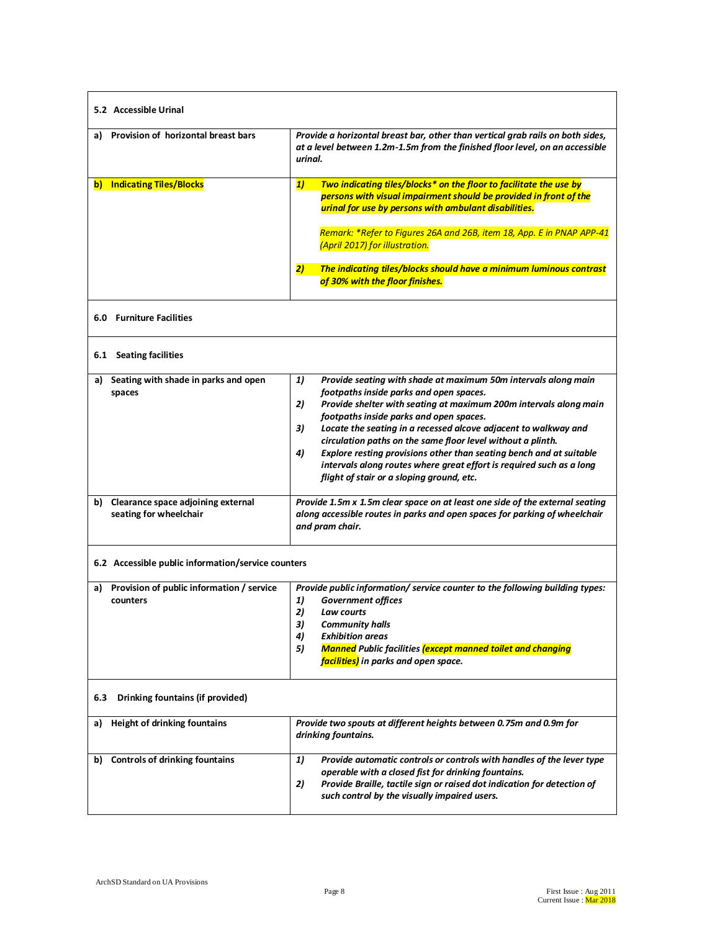| 5.2 Accessible Urinal                                           |                                                                                                                                                                                                                                                                                                                                                                                                                                                                                                                                                                                 |
|-----------------------------------------------------------------|---------------------------------------------------------------------------------------------------------------------------------------------------------------------------------------------------------------------------------------------------------------------------------------------------------------------------------------------------------------------------------------------------------------------------------------------------------------------------------------------------------------------------------------------------------------------------------|
| a) Provision of horizontal breast bars                          | Provide a horizontal breast bar, other than vertical grab rails on both sides,<br>at a level between 1.2m-1.5m from the finished floor level, on an accessible<br>urinal.                                                                                                                                                                                                                                                                                                                                                                                                       |
| b) Indicating Tiles/Blocks                                      | Two indicating tiles/blocks* on the floor to facilitate the use by<br>1)<br>persons with visual impairment should be provided in front of the<br>urinal for use by persons with ambulant disabilities.<br>Remark: *Refer to Figures 26A and 26B, item 18, App. E in PNAP APP-41<br>(April 2017) for illustration.<br>2)<br>The indicating tiles/blocks should have a minimum luminous contrast                                                                                                                                                                                  |
| 6.0 Furniture Facilities                                        | of 30% with the floor finishes.                                                                                                                                                                                                                                                                                                                                                                                                                                                                                                                                                 |
|                                                                 |                                                                                                                                                                                                                                                                                                                                                                                                                                                                                                                                                                                 |
| 6.1 Seating facilities                                          |                                                                                                                                                                                                                                                                                                                                                                                                                                                                                                                                                                                 |
| Seating with shade in parks and open<br>a)<br>spaces            | 1)<br>Provide seating with shade at maximum 50m intervals along main<br>footpaths inside parks and open spaces.<br>Provide shelter with seating at maximum 200m intervals along main<br>2)<br>footpaths inside parks and open spaces.<br>Locate the seating in a recessed alcove adjacent to walkway and<br>3)<br>circulation paths on the same floor level without a plinth.<br>Explore resting provisions other than seating bench and at suitable<br>4)<br>intervals along routes where great effort is required such as a long<br>flight of stair or a sloping ground, etc. |
| b) Clearance space adjoining external<br>seating for wheelchair | Provide 1.5m x 1.5m clear space on at least one side of the external seating<br>along accessible routes in parks and open spaces for parking of wheelchair<br>and pram chair.                                                                                                                                                                                                                                                                                                                                                                                                   |
| 6.2 Accessible public information/service counters              |                                                                                                                                                                                                                                                                                                                                                                                                                                                                                                                                                                                 |
| Provision of public information / service<br>a)<br>counters     | Provide public information/ service counter to the following building types:<br>1)<br><b>Government offices</b><br>2)<br>Law courts<br>3)<br><b>Community halls</b><br>4)<br><b>Exhibition areas</b><br><b>Manned</b> Public facilities (except manned toilet and changing<br>5)<br>facilities) in parks and open space.                                                                                                                                                                                                                                                        |
| 6.3<br>Drinking fountains (if provided)                         |                                                                                                                                                                                                                                                                                                                                                                                                                                                                                                                                                                                 |
| Height of drinking fountains<br>a)                              | Provide two spouts at different heights between 0.75m and 0.9m for<br>drinking fountains.                                                                                                                                                                                                                                                                                                                                                                                                                                                                                       |
| b) Controls of drinking fountains                               | Provide automatic controls or controls with handles of the lever type<br>1)<br>operable with a closed fist for drinking fountains.<br>Provide Braille, tactile sign or raised dot indication for detection of<br>2)<br>such control by the visually impaired users.                                                                                                                                                                                                                                                                                                             |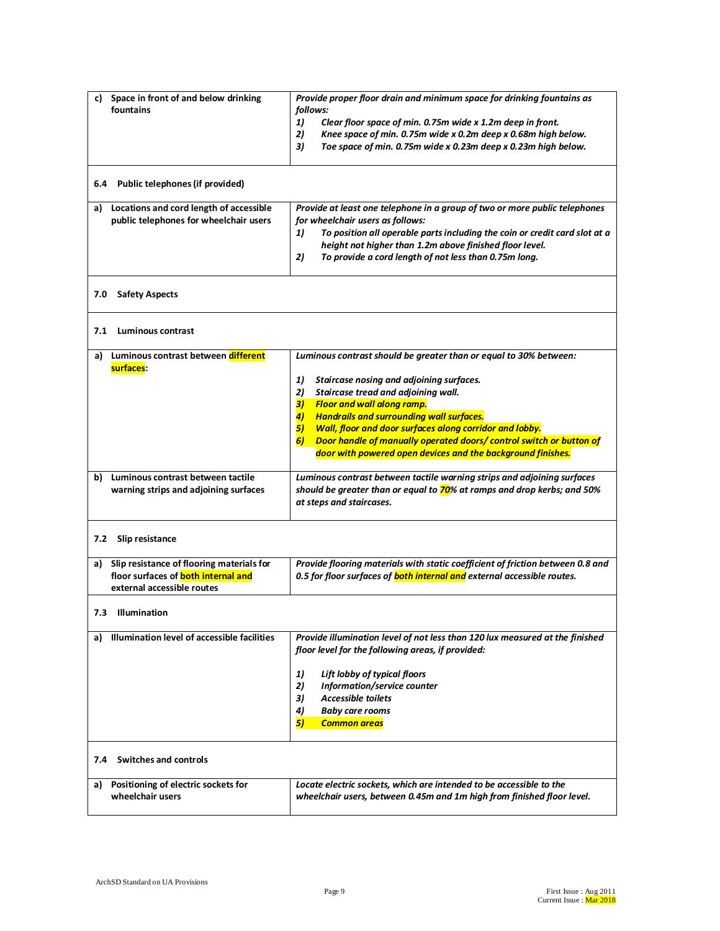| c) Space in front of and below drinking<br>fountains                                                                        | Provide proper floor drain and minimum space for drinking fountains as<br>follows:<br>1)<br>Clear floor space of min. 0.75m wide x 1.2m deep in front.<br>2)<br>Knee space of min. 0.75m wide x 0.2m deep x 0.68m high below.<br>Toe space of min. 0.75m wide x 0.23m deep x 0.23m high below.<br>3)                                                                                                                                                                                             |
|-----------------------------------------------------------------------------------------------------------------------------|--------------------------------------------------------------------------------------------------------------------------------------------------------------------------------------------------------------------------------------------------------------------------------------------------------------------------------------------------------------------------------------------------------------------------------------------------------------------------------------------------|
| Public telephones (if provided)<br>6.4                                                                                      |                                                                                                                                                                                                                                                                                                                                                                                                                                                                                                  |
| a) Locations and cord length of accessible<br>public telephones for wheelchair users                                        | Provide at least one telephone in a group of two or more public telephones<br>for wheelchair users as follows:<br>To position all operable parts including the coin or credit card slot at a<br>1)<br>height not higher than 1.2m above finished floor level.<br>2)<br>To provide a cord length of not less than 0.75m long.                                                                                                                                                                     |
| 7.0<br><b>Safety Aspects</b>                                                                                                |                                                                                                                                                                                                                                                                                                                                                                                                                                                                                                  |
| <b>Luminous contrast</b><br>7.1                                                                                             |                                                                                                                                                                                                                                                                                                                                                                                                                                                                                                  |
| Luminous contrast between different<br>a)<br>surfaces:                                                                      | Luminous contrast should be greater than or equal to 30% between:<br>1)<br>Staircase nosing and adjoining surfaces.<br>2)<br>Staircase tread and adjoining wall.<br><b>Floor and wall along ramp.</b><br>3)<br><b>Handrails and surrounding wall surfaces.</b><br>$\vert 4 \rangle$<br>5)<br>Wall, floor and door surfaces along corridor and lobby.<br>Door handle of manually operated doors/ control switch or button of<br>6)<br>door with powered open devices and the background finishes. |
| b) Luminous contrast between tactile<br>warning strips and adjoining surfaces                                               | Luminous contrast between tactile warning strips and adjoining surfaces<br>should be greater than or equal to 70% at ramps and drop kerbs; and 50%<br>at steps and staircases.                                                                                                                                                                                                                                                                                                                   |
| Slip resistance<br>7.2                                                                                                      |                                                                                                                                                                                                                                                                                                                                                                                                                                                                                                  |
| Slip resistance of flooring materials for<br>a)<br>floor surfaces of <b>both internal and</b><br>external accessible routes | Provide flooring materials with static coefficient of friction between 0.8 and<br>0.5 for floor surfaces of <b>both internal and</b> external accessible routes.                                                                                                                                                                                                                                                                                                                                 |
| <b>Illumination</b><br>7.3                                                                                                  |                                                                                                                                                                                                                                                                                                                                                                                                                                                                                                  |
| Illumination level of accessible facilities<br>a)                                                                           | Provide illumination level of not less than 120 lux measured at the finished<br>floor level for the following areas, if provided:<br>1)<br>Lift lobby of typical floors<br>2)<br>Information/service counter<br>3)<br><b>Accessible toilets</b><br>4)<br><b>Baby care rooms</b><br>5)<br><b>Common areas</b>                                                                                                                                                                                     |
| <b>Switches and controls</b><br>7.4                                                                                         |                                                                                                                                                                                                                                                                                                                                                                                                                                                                                                  |
| Positioning of electric sockets for<br>a)<br>wheelchair users                                                               | Locate electric sockets, which are intended to be accessible to the<br>wheelchair users, between 0.45m and 1m high from finished floor level.                                                                                                                                                                                                                                                                                                                                                    |